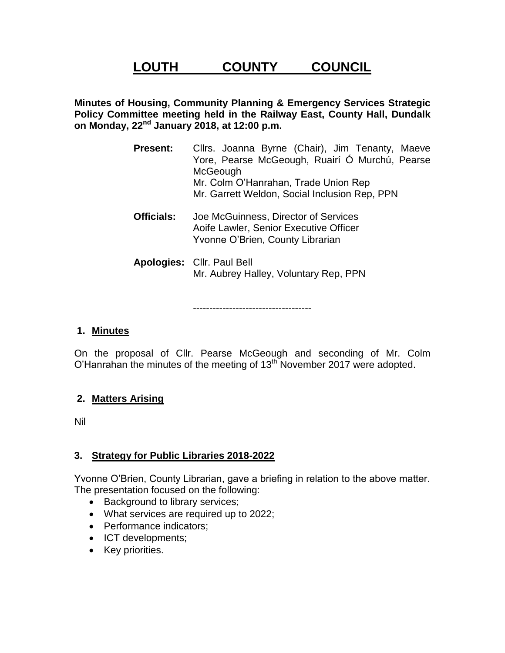# **LOUTH COUNTY COUNCIL**

**Minutes of Housing, Community Planning & Emergency Services Strategic Policy Committee meeting held in the Railway East, County Hall, Dundalk on Monday, 22nd January 2018, at 12:00 p.m.**

- **Present:** Cllrs. Joanna Byrne (Chair), Jim Tenanty, Maeve Yore, Pearse McGeough, Ruairí Ó Murchú, Pearse **McGeough** Mr. Colm O'Hanrahan, Trade Union Rep Mr. Garrett Weldon, Social Inclusion Rep, PPN **Officials:** Joe McGuinness, Director of Services
	- Aoife Lawler, Senior Executive Officer Yvonne O'Brien, County Librarian
- **Apologies:** Cllr. Paul Bell Mr. Aubrey Halley, Voluntary Rep, PPN

------------------------------------

#### **1. Minutes**

On the proposal of Cllr. Pearse McGeough and seconding of Mr. Colm O'Hanrahan the minutes of the meeting of 13<sup>th</sup> November 2017 were adopted.

#### **2. Matters Arising**

Nil

#### **3. Strategy for Public Libraries 2018-2022**

Yvonne O'Brien, County Librarian, gave a briefing in relation to the above matter. The presentation focused on the following:

- Background to library services;
- What services are required up to 2022;
- Performance indicators;
- ICT developments;
- Key priorities.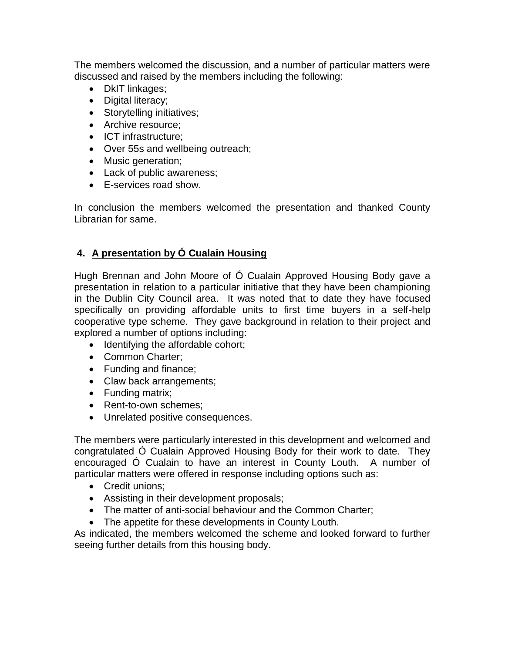The members welcomed the discussion, and a number of particular matters were discussed and raised by the members including the following:

- DkIT linkages;
- Digital literacy;
- Storytelling initiatives;
- Archive resource:
- ICT infrastructure;
- Over 55s and wellbeing outreach;
- Music generation;
- Lack of public awareness;
- E-services road show.

In conclusion the members welcomed the presentation and thanked County Librarian for same.

#### **4. A presentation by Ó Cualain Housing**

Hugh Brennan and John Moore of Ó Cualain Approved Housing Body gave a presentation in relation to a particular initiative that they have been championing in the Dublin City Council area. It was noted that to date they have focused specifically on providing affordable units to first time buyers in a self-help cooperative type scheme. They gave background in relation to their project and explored a number of options including:

- Identifying the affordable cohort;
- Common Charter;
- Funding and finance;
- Claw back arrangements;
- Funding matrix;
- Rent-to-own schemes;
- Unrelated positive consequences.

The members were particularly interested in this development and welcomed and congratulated Ó Cualain Approved Housing Body for their work to date. They encouraged Ó Cualain to have an interest in County Louth. A number of particular matters were offered in response including options such as:

- Credit unions:
- Assisting in their development proposals;
- The matter of anti-social behaviour and the Common Charter;
- The appetite for these developments in County Louth.

As indicated, the members welcomed the scheme and looked forward to further seeing further details from this housing body.